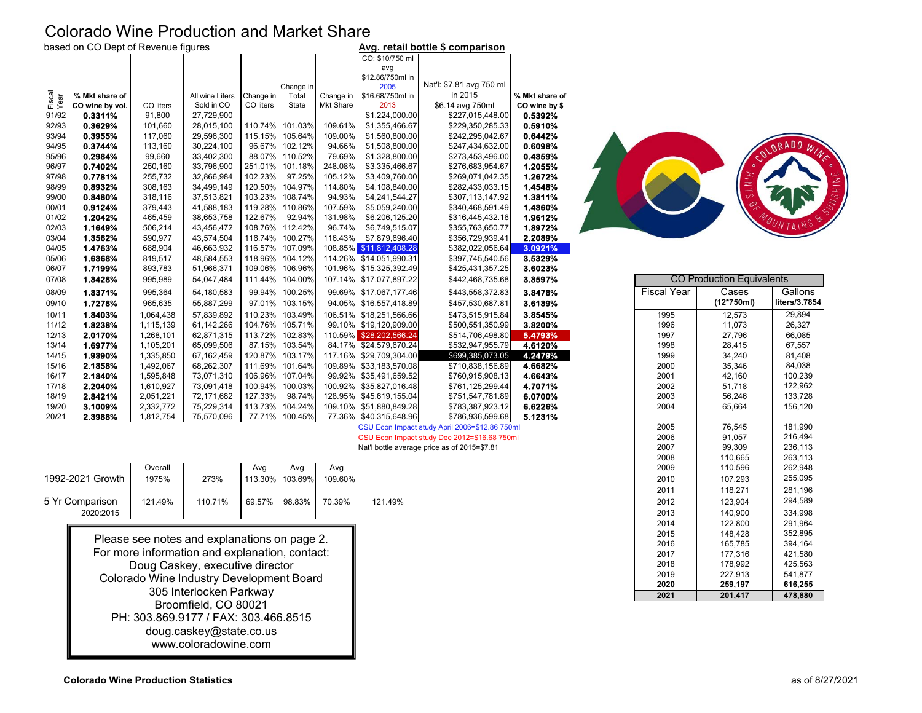# Colorado Wine Production and Market Share

|  |  | based on CO Dept of Revenue figures |  |
|--|--|-------------------------------------|--|
|  |  |                                     |  |

|                | based on CO Dept of Revenue figures |           |                 |           |                 |                  |                         | Avg. retail bottle \$ comparison               |                |                    |                                  |               |
|----------------|-------------------------------------|-----------|-----------------|-----------|-----------------|------------------|-------------------------|------------------------------------------------|----------------|--------------------|----------------------------------|---------------|
|                |                                     |           |                 |           |                 |                  | CO: \$10/750 ml<br>avg  |                                                |                |                    |                                  |               |
|                |                                     |           |                 |           |                 |                  | \$12.86/750ml in        |                                                |                |                    |                                  |               |
|                |                                     |           |                 |           | Change in       |                  | 2005                    | Nat'l: \$7.81 avg 750 ml                       |                |                    |                                  |               |
| Fiscal<br>Year | % Mkt share of                      |           | All wine Liters | Change in | Total           | Change in        | \$16.68/750ml in        | in 2015                                        | % Mkt share of |                    |                                  |               |
|                | CO wine by vol.                     | CO liters | Sold in CO      | CO liters | State           | <b>Mkt Share</b> | 2013                    | \$6.14 avg 750ml                               | CO wine by \$  |                    |                                  |               |
| 91/92          | 0.3311%                             | 91,800    | 27.729.900      |           |                 |                  | \$1,224,000.00          | \$227,015,448.00                               | 0.5392%        |                    |                                  |               |
| 92/93          | 0.3629%                             | 101,660   | 28.015.100      |           | 110.74% 101.03% | 109.61%          | \$1,355,466.67          | \$229,350,285.33                               | 0.5910%        |                    |                                  |               |
| 93/94          | 0.3955%                             | 117,060   | 29,596,300      | 115.15%   | 105.64%         | 109.00%          | \$1,560,800.00          | \$242,295,042.67                               | 0.6442%        |                    |                                  |               |
| 94/95          | 0.3744%                             | 113,160   | 30,224,100      | 96.67%    | 102.12%         | 94.66%           | \$1,508,800.00          | \$247,434,632.00                               | 0.6098%        |                    |                                  | ORADO W       |
| 95/96          | 0.2984%                             | 99,660    | 33,402,300      | 88.07%    | 110.52%         | 79.69%           | \$1,328,800.00          | \$273,453,496.00                               | 0.4859%        |                    |                                  |               |
| 96/97          | 0.7402%                             | 250,160   | 33,796,900      | 251.01%   | 101.18%         | 248.08%          | \$3,335,466.67          | \$276,683,954.67                               | 1.2055%        |                    |                                  |               |
| 97/98          | 0.7781%                             | 255,732   | 32,866,984      | 102.23%   | 97.25%          | 105.12%          | \$3,409,760.00          | \$269,071,042.35                               | 1.2672%        |                    | ź                                |               |
| 98/99          | 0.8932%                             | 308,163   | 34,499,149      | 120.50%   | 104.97%         | 114.80%          | \$4,108,840.00          | \$282,433,033.15                               | 1.4548%        |                    |                                  |               |
| 99/00          | 0.8480%                             | 318,116   | 37,513,821      | 103.23%   | 108.74%         | 94.93%           | \$4,241,544.27          | \$307,113,147.92                               | 1.3811%        |                    |                                  |               |
| 00/01          | 0.9124%                             | 379,443   | 41,588,183      | 119.28%   | 110.86%         | 107.59%          | \$5,059,240.00          | \$340,468,591.49                               | 1.4860%        |                    |                                  |               |
| 01/02          | 1.2042%                             | 465,459   | 38,653,758      | 122.67%   | 92.94%          | 131.98%          | \$6,206,125.20          | \$316,445,432.16                               | 1.9612%        |                    |                                  |               |
| 02/03          | 1.1649%                             | 506,214   | 43,456,472      | 108.76%   | 112.42%         | 96.74%           | \$6,749,515.07          | \$355,763,650.77                               | 1.8972%        |                    |                                  |               |
| 03/04          | 1.3562%                             | 590,977   | 43,574,504      | 116.74%   | 100.27%         | 116.43%          | \$7,879,696.40          | \$356,729,939.41                               | 2.2089%        |                    |                                  |               |
| 04/05          | 1.4763%                             | 688,904   | 46,663,932      | 116.57%   | 107.09%         |                  | 108.85% \$11,812,408.28 | \$382,022,056.64                               | 3.0921%        |                    |                                  |               |
| 05/06          | 1.6868%                             | 819,517   | 48,584,553      | 118.96%   | 104.12%         |                  | 114.26% \$14,051,990.31 | \$397,745,540.56                               | 3.5329%        |                    |                                  |               |
| 06/07          | 1.7199%                             | 893,783   | 51,966,371      | 109.06%   | 106.96%         |                  | 101.96% \$15,325,392.49 | \$425,431,357.25                               | 3.6023%        |                    |                                  |               |
| 07/08          | 1.8428%                             | 995,989   | 54,047,484      | 111.44%   | 104.00%         |                  | 107.14% \$17,077,897.22 | \$442,468,735.68                               | 3.8597%        |                    | <b>CO Production Equivalents</b> |               |
| 08/09          | 1.8371%                             | 995,364   | 54,180,583      | 99.94%    | 100.25%         |                  | 99.69% \$17,067,177.46  | \$443,558,372.83                               | 3.8478%        | <b>Fiscal Year</b> | Cases                            | Gallons       |
| 09/10          | 1.7278%                             | 965,635   | 55,887,299      | 97.01%    | 103.15%         |                  | 94.05% \$16,557,418.89  | \$457,530,687.81                               | 3.6189%        |                    | $(12*750ml)$                     | liters/3.7854 |
| 10/11          | 1.8403%                             | 1,064,438 | 57,839,892      | 110.23%   | 103.49%         |                  | 106.51% \$18,251,566.66 | \$473,515,915.84                               | 3.8545%        | 1995               | 12,573                           | 29,894        |
| 11/12          | 1.8238%                             | 1,115,139 | 61,142,266      | 104.76%   | 105.71%         |                  | 99.10% \$19,120,909.00  | \$500,551,350.99                               | 3.8200%        | 1996               | 11,073                           | 26,327        |
| 12/13          | 2.0170%                             | 1,268,101 | 62,871,315      | 113.72%   | 102.83%         |                  | 110.59% \$28,202,566.24 | \$514,706,498.80                               | 5.4793%        | 1997               | 27,796                           | 66,085        |
| 13/14          | 1.6977%                             | 1,105,201 | 65,099,506      | 87.15%    | 103.54%         |                  | 84.17% \$24,579,670.24  | \$532,947,955.79                               | 4.6120%        | 1998               | 28,415                           | 67,557        |
| 14/15          | 1.9890%                             | 1,335,850 | 67,162,459      | 120.87%   | 103.17%         |                  | 117.16% \$29,709,304.00 | \$699,385,073.05                               | 4.2479%        | 1999               | 34,240                           | 81,408        |
| 15/16          | 2.1858%                             | 1,492,067 | 68,262,307      | 111.69%   | 101.64%         |                  | 109.89% \$33,183,570.08 | \$710,838,156.89                               | 4.6682%        | 2000               | 35,346                           | 84,038        |
| 16/17          | 2.1840%                             | 1,595,848 | 73,071,310      | 106.96%   | 107.04%         |                  | 99.92% \$35,491,659.52  | \$760,915,908.13                               | 4.6643%        | 2001               | 42,160                           | 100,239       |
| 17/18          | 2.2040%                             | 1,610,927 | 73,091,418      | 100.94%   | 100.03%         |                  | 100.92% \$35,827,016.48 | \$761,125,299.44                               | 4.7071%        | 2002               | 51,718                           | 122,962       |
| 18/19          | 2.8421%                             | 2,051,221 | 72,171,682      | 127.33%   | 98.74%          |                  | 128.95% \$45,619,155.04 | \$751,547,781.89                               | 6.0700%        | 2003               | 56,246                           | 133,728       |
| 19/20          | 3.1009%                             | 2,332,772 | 75,229,314      | 113.73%   | 104.24%         |                  | 109.10% \$51,880,849.28 | \$783,387,923.12                               | 6.6226%        | 2004               | 65,664                           | 156,120       |
| 20/21          | 2.3988%                             | 1,812,754 | 75,570,096      |           | 77.71% 100.45%  |                  | 77.36% \$40,315,648.96  | \$786,936,599.68                               | 5.1231%        |                    |                                  |               |
|                |                                     |           |                 |           |                 |                  |                         | CSU Fron Impact study April 2006=\$12.86.750ml |                | 2005               | 76545                            | 181 990       |

### CSU Econ Impact study Dec 2012=\$16.68 750ml

|                  | Overall |         | Avq     | Avg     | Avg     |         | 2009 |  |
|------------------|---------|---------|---------|---------|---------|---------|------|--|
| 1992-2021 Growth | 1975%   | 273%    | 113.30% | 103.69% | 109.60% |         | 2010 |  |
|                  |         |         |         |         |         |         | 201  |  |
| 5 Yr Comparison  | 121.49% | 110.71% | 69.57%  | 98.83%  | 70.39%  | 121.49% | 2012 |  |
| 2020:2015        |         |         |         |         |         |         | 2013 |  |

Please see notes and explanations on page 2. For more information and explanation, contact: Doug Caskey, executive director Colorado Wine Industry Development Board 305 Interlocken Parkway Broomfield, CO 80021 PH: 303.869.9177 / FAX: 303.466.8515 doug.caskey@state.co.us www.coloradowine.com



| \$17,077,897.22 | \$442,468,735.68                               | 3.8597% |                    | <b>CO Production Equivalents</b> |               |
|-----------------|------------------------------------------------|---------|--------------------|----------------------------------|---------------|
| \$17,067,177.46 | \$443,558,372.83                               | 3.8478% | <b>Fiscal Year</b> | Cases                            | Gallons       |
| \$16,557,418.89 | \$457,530,687.81                               | 3.6189% |                    | (12*750ml)                       | liters/3.7854 |
| \$18,251,566.66 | \$473,515,915.84                               | 3.8545% | 1995               | 12,573                           | 29,894        |
| \$19,120,909.00 | \$500,551,350.99                               | 3.8200% | 1996               | 11,073                           | 26.327        |
| \$28,202,566.24 | \$514,706,498.80                               | 5.4793% | 1997               | 27,796                           | 66,085        |
| \$24,579,670.24 | \$532,947,955.79                               | 4.6120% | 1998               | 28,415                           | 67,557        |
| \$29,709,304.00 | \$699,385,073.05                               | 4.2479% | 1999               | 34,240                           | 81,408        |
| \$33,183,570.08 | \$710,838,156.89                               | 4.6682% | 2000               | 35,346                           | 84,038        |
| \$35,491,659.52 | \$760,915,908.13                               | 4.6643% | 2001               | 42,160                           | 100,239       |
| \$35,827,016.48 | \$761,125,299.44                               | 4.7071% | 2002               | 51,718                           | 122,962       |
| \$45,619,155.04 | \$751,547,781.89                               | 6.0700% | 2003               | 56,246                           | 133,728       |
| \$51,880,849.28 | \$783,387,923.12                               | 6.6226% | 2004               | 65,664                           | 156,120       |
| \$40,315,648.96 | \$786,936,599.68                               | 5.1231% |                    |                                  |               |
|                 | CSU Econ Impact study April 2006=\$12.86 750ml |         | 2005               | 76.545                           | 181.990       |
|                 | CSU Econ Impact study Dec 2012=\$16.68 750ml   |         | 2006               | 91,057                           | 216,494       |
|                 | Nat'l bottle average price as of 2015=\$7.81   |         | 2007               | 99.309                           | 236,113       |
|                 |                                                |         | 2008               | 110,665                          | 263,113       |
|                 |                                                |         | 2009               | 110,596                          | 262,948       |
|                 |                                                |         | 2010               | 107,293                          | 255,095       |
|                 |                                                |         | 2011               | 118,271                          | 281,196       |
| 121.49%         |                                                |         | 2012               | 123,904                          | 294,589       |
|                 |                                                |         | 2013               | 140.900                          | 334,998       |
|                 |                                                |         | 2014               | 122,800                          | 291,964       |
|                 |                                                |         | 2015               | 148,428                          | 352,895       |
|                 |                                                |         | 2016               | 165,785                          | 394,164       |
|                 |                                                |         | 2017               | 177,316                          | 421,580       |
|                 |                                                |         | 2018               | 178,992                          | 425,563       |
|                 |                                                |         | 2019               | 227.913                          | 541,877       |
|                 |                                                |         | 2020               | 259,197                          | 616,255       |
|                 |                                                |         | 2021               | 201,417                          | 478,880       |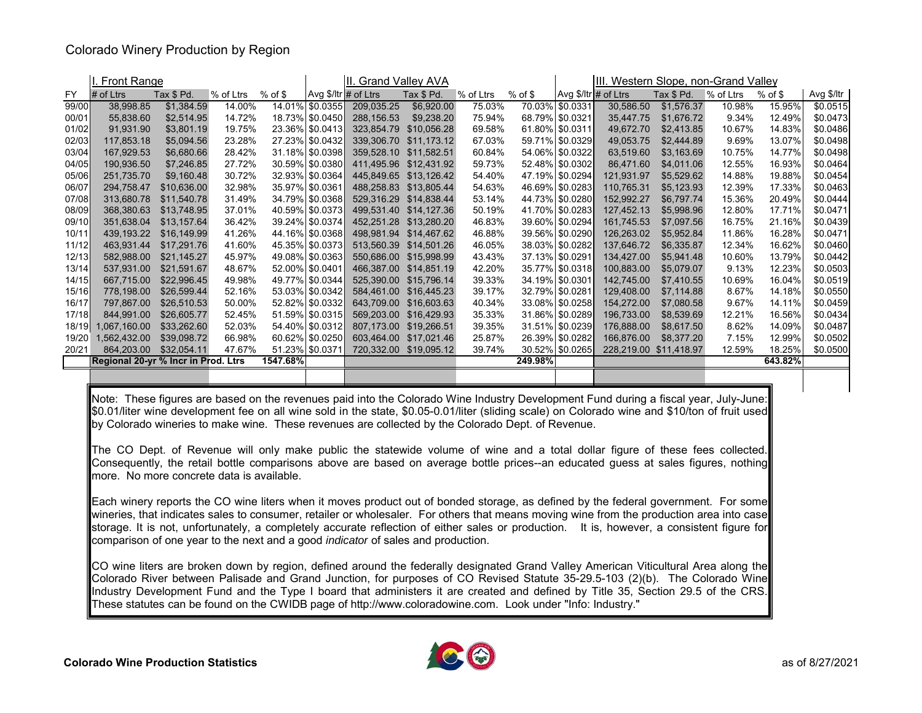### Colorado Winery Production by Region

|       | I. Front Range                      |             |           |          |                      | II. Grand Valley AVA |             |           |            |                        | III. Western Slope, non-Grand Valley |                        |             |           |            |
|-------|-------------------------------------|-------------|-----------|----------|----------------------|----------------------|-------------|-----------|------------|------------------------|--------------------------------------|------------------------|-------------|-----------|------------|
| FY    | $#$ of Ltrs                         | Tax \$ Pd.  | % of Ltrs | % of \$  | Avg \$/ltr # of Ltrs |                      | Tax \$ Pd.  | % of Ltrs | $%$ of $$$ | Avg $$/$ Itr # of Ltrs |                                      | Tax \$ Pd.             | $%$ of Ltrs | $%$ of \$ | Avg \$/ltr |
| 99/00 | 38,998.85                           | \$1,384.59  | 14.00%    |          | 14.01% \$0.0355      | 209,035.25           | \$6,920.00  | 75.03%    |            | 70.03% \$0.0331        | 30,586.50                            | \$1,576.37             | 10.98%      | 15.95%    | \$0.0515   |
| 00/01 | 55,838.60                           | \$2,514.95  | 14.72%    |          | 18.73% \$0.0450      | 288,156.53           | \$9,238.20  | 75.94%    |            | 68.79% \$0.0321        | 35,447.75                            | \$1,676.72             | 9.34%       | 12.49%    | \$0.0473   |
| 01/02 | 91,931.90                           | \$3,801.19  | 19.75%    |          | 23.36% \$0.0413      | 323,854.79           | \$10,056.28 | 69.58%    |            | 61.80% \$0.0311        | 49,672.70                            | \$2,413.85             | 10.67%      | 14.83%    | \$0.0486   |
| 02/03 | 117,853.18                          | \$5,094.56  | 23.28%    |          | 27.23% \$0.0432      | 339,306.70           | \$11,173.12 | 67.03%    |            | 59.71% \$0.0329        | 49,053.75                            | \$2,444.89             | 9.69%       | 13.07%    | \$0.0498   |
| 03/04 | 167,929.53                          | \$6,680.66  | 28.42%    |          | 31.18% \$0.0398      | 359,528.10           | \$11,582.51 | 60.84%    |            | 54.06% \$0.0322        | 63,519.60                            | \$3,163.69             | 10.75%      | 14.77%    | \$0.0498   |
| 04/05 | 190,936.50                          | \$7,246.85  | 27.72%    |          | 30.59% \$0.0380      | 411,495.96           | \$12,431.92 | 59.73%    |            | 52.48% \$0.0302        | 86,471.60                            | \$4,011.06             | 12.55%      | 16.93%    | \$0.0464   |
| 05/06 | 251,735.70                          | \$9,160.48  | 30.72%    |          | 32.93%   \$0.0364    | 445,849.65           | \$13.126.42 | 54.40%    |            | 47.19% \$0.0294        | 121,931.97                           | \$5,529.62             | 14.88%      | 19.88%    | \$0.0454   |
| 06/07 | 294,758.47                          | \$10.636.00 | 32.98%    |          | 35.97% \$0.0361      | 488.258.83           | \$13,805.44 | 54.63%    |            | 46.69% \$0.0283        | 110,765.31                           | \$5,123.93             | 12.39%      | 17.33%    | \$0.0463   |
| 07/08 | 313,680.78                          | \$11,540.78 | 31.49%    |          | 34.79% \$0.0368      | 529,316.29           | \$14,838.44 | 53.14%    |            | 44.73% \$0.0280        | 152,992.27                           | \$6,797.74             | 15.36%      | 20.49%    | \$0.0444   |
| 08/09 | 368,380.63                          | \$13.748.95 | 37.01%    |          | 40.59% \$0.0373      | 499,531.40           | \$14,127.36 | 50.19%    |            | 41.70% \$0.0283        | 127,452.13                           | \$5,998.96             | 12.80%      | 17.71%    | \$0.0471   |
| 09/10 | 351,638.04                          | \$13,157.64 | 36.42%    |          | 39.24% \$0.0374      | 452,251.28           | \$13,280.20 | 46.83%    |            | 39.60% \$0.0294        | 161,745.53                           | \$7,097.56             | 16.75%      | 21.16%    | \$0.0439   |
| 10/11 | 439,193.22                          | \$16,149.99 | 41.26%    |          | 44.16% \$0.0368      | 498.981.94           | \$14,467.62 | 46.88%    |            | 39.56% \$0.0290        | 126,263.02                           | \$5,952.84             | 11.86%      | 16.28%    | \$0.0471   |
| 11/12 | 463,931.44                          | \$17.291.76 | 41.60%    |          | 45.35% \$0.0373      | 513.560.39           | \$14,501.26 | 46.05%    |            | 38.03% \$0.0282        | 137,646.72                           | \$6,335.87             | 12.34%      | 16.62%    | \$0.0460   |
| 12/13 | 582,988.00                          | \$21,145.27 | 45.97%    |          | 49.08% \$0.0363      | 550,686.00           | \$15,998.99 | 43.43%    |            | 37.13% \$0.0291        | 134,427.00                           | \$5,941.48             | 10.60%      | 13.79%    | \$0.0442   |
| 13/14 | 537,931.00                          | \$21.591.67 | 48.67%    |          | 52.00% \$0.0401      | 466,387.00           | \$14,851.19 | 42.20%    |            | 35.77%   \$0.0318      | 100,883.00                           | \$5,079.07             | 9.13%       | 12.23%    | \$0.0503   |
| 14/15 | 667,715.00                          | \$22,996.45 | 49.98%    |          | 49.77% \$0.0344      | 525,390.00           | \$15,796.14 | 39.33%    |            | 34.19% \$0.0301        | 142,745.00                           | \$7,410.55             | 10.69%      | 16.04%    | \$0.0519   |
| 15/16 | 778,198.00                          | \$26,599.44 | 52.16%    |          | 53.03% \$0.0342      | 584.461.00           | \$16,445.23 | 39.17%    |            | 32.79% \$0.0281        | 129,408.00                           | \$7,114.88             | 8.67%       | 14.18%    | \$0.0550   |
| 16/17 | 797,867.00                          | \$26,510.53 | 50.00%    |          | 52.82%   \$0.0332    | 643,709.00           | \$16,603.63 | 40.34%    |            | 33.08% \$0.0258        | 154,272.00                           | \$7,080.58             | 9.67%       | 14.11%    | \$0.0459   |
| 17/18 | 844,991.00                          | \$26,605.77 | 52.45%    |          | 51.59% \$0.0315      | 569,203.00           | \$16,429.93 | 35.33%    |            | 31.86% \$0.0289        | 196,733.00                           | \$8,539.69             | 12.21%      | 16.56%    | \$0.0434]  |
| 18/19 | 1,067,160.00                        | \$33,262.60 | 52.03%    |          | 54.40% \$0.0312      | 807,173.00           | \$19,266.51 | 39.35%    |            | 31.51%   \$0.0239      | 176,888.00                           | \$8,617.50             | 8.62%       | 14.09%    | \$0.0487   |
| 19/20 | 1,562,432.00                        | \$39,098.72 | 66.98%    |          | 60.62% \$0.0250      | 603,464.00           | \$17,021.46 | 25.87%    |            | 26.39% \$0.0282        | 166,876.00                           | \$8,377.20             | 7.15%       | 12.99%    | \$0.0502   |
| 20/21 | 864.203.00                          | \$32.054.11 | 47.67%    |          | 51.23% \$0.0371      | 720,332.00           | \$19,095.12 | 39.74%    |            | 30.52% \$0.0265        |                                      | 228,219.00 \$11,418.97 | 12.59%      | 18.25%    | \$0.0500   |
|       | Regional 20-yr % Incr in Prod. Ltrs |             |           | 1547.68% |                      |                      |             |           | 249.98%    |                        |                                      |                        |             | 643.82%   |            |
|       |                                     |             |           |          |                      |                      |             |           |            |                        |                                      |                        |             |           |            |

Note: These figures are based on the revenues paid into the Colorado Wine Industry Development Fund during <sup>a</sup> fiscal year, July-June: \$0.01/liter wine development fee on all wine sold in the state, \$0.05-0.01/liter (sliding scale) on Colorado wine and \$10/ton of fruit used by Colorado wineries to make wine. These revenues are collected by the Colorado Dept. of Revenue.

The CO Dept. of Revenue will only make public the statewide volume of wine and <sup>a</sup> total dollar figure of these fees collected. Consequently, the retail bottle comparisons above are based on average bottle prices--an educated guess at sales figures, nothing more. No more concrete data is available.

Each winery reports the CO wine liters when it moves product out of bonded storage, as defined by the federal government. For some wineries, that indicates sales to consumer, retailer or wholesaler. For others that means moving wine from the production area into case storage. It is not, unfortunately, a completely accurate reflection of either sales or production. It is, however, a consistent figure for comparison of one year to the next and <sup>a</sup> good *indicator* of sales and production.

CO wine liters are broken down by region, defined around the federally designated Grand Valley American Viticultural Area along the Colorado River between Palisade and Grand Junction, for purposes of CO Revised Statute 35-29.5-103 (2)(b). The Colorado Wine Industry Development Fund and the Type I board that administers it are created and defined by Title 35, Section 29.5 of the CRS. These statutes can be found on the CWIDB page of http://www.coloradowine.com. Look under "Info: Industry."